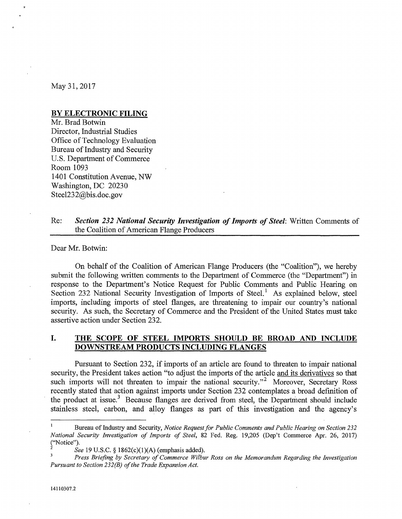May 31, 2017

### **BY ELECTRONIC FILING**

Mr. Brad Botwin Director, Industrial Studies Office of Technology Evaluation Bureau of Industry and Security U.S. Department of Commerce Room 1093 1401 Constitution Avenue, NW Washington, DC 20230 SteeI232@bis.doc.gov

## Re: *Section* **232** *National Security Investigation of Imports of Steel:* Written Comments of the Coalition of American Flange Producers

#### Dear Mr. Botwin:

On behalf of the Coalition of American Flange Producers (the "Coalition"), we hereby submit the following written comments to the Department of Commerce (the "Department") in response to the Department's Notice Request for Public Comments and Public Hearing on Section 232 National Security Investigation of Imports of Steel.<sup>1</sup> As explained below, steel imports, including imports of steel flanges, are threatening to impair our country's national security. As such, the Secretary of Commerce and the President of the United States must take assertive action under Section 232.

# **I. THE SCOPE OF STEEL IMPORTS SHOULD BE BROAD AND INCLUDE DOWNSTREAM PRODUCTS INCLUDING FLANGES**

Pursuant to Section 232, if imports of an article are found to threaten to impair national security, the President takes action "to adjust the imports of the article and its derivatives so that such imports will not threaten to impair the national security."<sup>2</sup> Moreover, Secretary Ross recently stated that action against imports under Section 232 contemplates a broad definition of the product at issue.<sup>3</sup> Because flanges are derived from steel, the Department should include stainless steel, carbon, and alloy flanges as part of this investigation and the agency's

Bureau of Industry and Security, *Notice Request for Public Comments and Public Hearing on Section 232 National Security Investigation of Imports of Steel,* 82 Fed. Reg. 19,205 (Dep't Commerce Apr. 26, 2017) ("Notice").

*See* 19 U.S.C. § 1862(c)(1)(A) (emphasis added).

*Press Briefing by Secretary of Commerce Wilbur Ross on the Memorandum Regarding the Investigation Pursuant to Section 232(B) of the Trade Expansion Act.*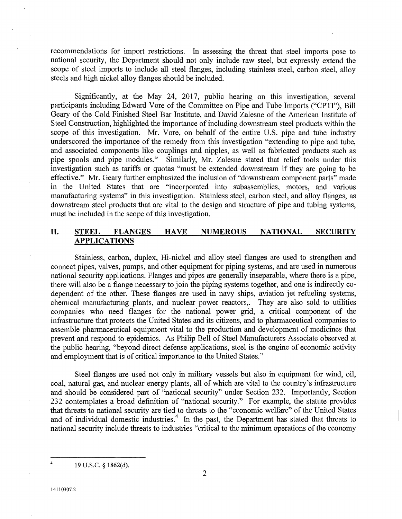recommendations for import restrictions. In assessing the threat that steel imports pose to national security, the Department should not only include raw steel, but expressly extend the scope of steel imports to include all steel flanges, including stainless steel, carbon steel, alloy steels and high nickel alloy flanges should be included.

Significantly, at the May 24, 2017, public hearing on this investigation, several participants including Edward Vore of the Committee on Pipe and Tube Imports ("CPTI"), Bill Geary of the Cold Finished Steel Bar Institute, and David Zalesne of the American Institute of Steel Construction, highlighted the importance of including downstream steel products within the scope of this investigation. Mr. Vore, on behalf of the entire U.S. pipe and tube industry underscored the importance of the remedy from this investigation "extending to pipe and tube, and associated components like couplings and nipples, as well as fabricated products such as pipe spools and pipe modules." Similarly, Mr. Zalesne stated that relief tools under this investigation such as tariffs or quotas "must be extended downstream if they are going to be effective." Mr. Geary further emphasized the inclusion of "downstream component parts" made in the United States that are "incorporated into subassemblies, motors, and various manufacturing systems" in this investigation. Stainless steel, carbon steel, and alloy flanges, as downstream steel products that are vital to the design and structure of pipe and tubing systems, must be included in the scope of this investigation.

## **II. STEEL FLANGES HAVE NUMEROUS NATIONAL SECURITY APPLICATIONS**

Stainless, carbon, duplex, Hi-nickel and alloy steel flanges are used to strengthen and connect pipes, valves, pumps, and other equipment for piping systems, and are used in numerous national security applications. Flanges and pipes are generally inseparable, where there is a pipe, there will also be a flange necessary to join the piping systems together, and one is indirectly codependent of the other. These flanges are used in navy ships, aviation jet refueling systems, chemical manufacturing plants, and nuclear power reactors,. They are also sold to utilities companies who need flanges for the national power grid, a critical component of the infrastructure that protects the United States and its citizens, and to pharmaceutical companies to assemble pharmaceutical equipment vital to the production and development of medicines that prevent and respond to epidemics. As Philip Bell of Steel Manufacturers Associate observed at the public hearing, "beyond direct defense applications, steel is the engine of economic activity and employment that is of critical importance to the United States."

Steel flanges are used not only in military vessels but also in equipment for wind, oil, coal, natural gas, and nuclear energy plants, all of which are vital to the country's infrastructure and should be considered part of "national security" under Section 232. Importantly, Section 232 contemplates a broad definition of "national security." For example, the statute provides that threats to national security are tied to threats to the "economic welfare" of the United States and of individual domestic industries.<sup>4</sup> In the past, the Department has stated that threats to national security include threats to industries "critical to the minimum operations of the economy

4 19 U.S.C.  $\S$  1862(d).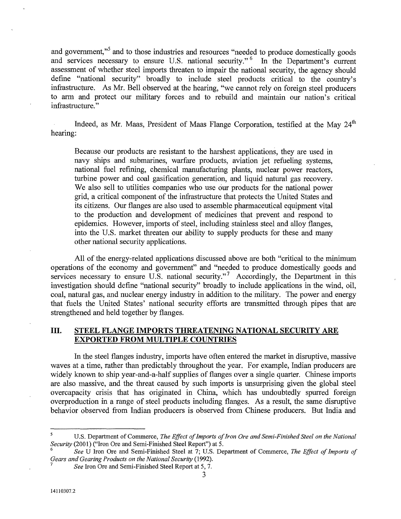and government,"<sup>5</sup> and to those industries and resources "needed to produce domestically goods and services necessary to ensure U.S. national security." In the Department's current assessment of whether steel imports threaten to impair the national security, the agency should define "national security" broadly to include steel products critical to the country's infrastructure. As Mr. Bell observed at the hearing, "we cannot rely on foreign steel producers to arm and protect our military forces and to rebuild and maintain our nation's critical infrastructure. "

Indeed, as Mr. Maas, President of Maas Flange Corporation, testified at the May 24<sup>th</sup> hearing:

Because our products are resistant to the harshest applications, they are used in navy ships and submarines, warfare products, aviation jet refueling systems, national fuel refining, chemical manufacturing plants, nuclear power reactors, turbine power and coal gasification generation, and liquid natural gas recovery. We also sell to utilities companies who use our products for the national power grid, a critical component of the infrastructure that protects the United States and its citizens. Our flanges are also used to assemble pharmaceutical equipment vital to the production and development of medicines that prevent and respond to epidemics. However, imports of steel, including stainless steel and alloy flanges, into the U.S. market threaten our ability to supply products for these and many other national security applications.

All of the energy-related applications discussed above are both "critical to the minimum operations of the economy and government" and "needed to produce domestically goods and services necessary to ensure U.S. national security. $v^7$  Accordingly, the Department in this investigation should define "national security" broadly to include applications in the wind, oil, coal, natural gas, and nuclear energy industry in addition to the military. The power and energy that fuels the United States' national security efforts are transmitted through pipes that are strengthened and held together by flanges.

### **III. STEEL FLANGE IMPORTS THREATENING NATIONAL SECURITY ARE EXPORTED FROM MULTIPLE COUNTRIES**

In the steel flanges industry, imports have often entered the market in disruptive, massive waves at a time, rather than predictably throughout the year. For example, Indian producers are widely known to ship year-and-a-half supplies of flanges over a single quarter. Chinese imports are also massive, and the threat caused by such imports is unsurprising given the global steel overcapacity crisis that has originated in China, which has undoubtedly spurred foreign overproduction in a range of steel products including flanges. As a result, the same disruptive behavior observed from Indian producers is observed from Chinese producers. But India and

 $\overline{\mathbf{5}}$ U.S. Department of Commerce, *The Effect of Imports of Iron Ore and Semi-Finished Steel on the National Security* (2001) ("Iron Ore and Semi-Finished Steel Report") at 5.

*<sup>6</sup>See* U Iron Ore and Semi-Finished Steel at 7; U.S. Department of Commerce, *The Effect of Imports of Gears and Gearing Products on the National Security (1992).* 

<sup>7</sup> *See* Iron Ore and Semi-Finished Steel Report at 5, 7.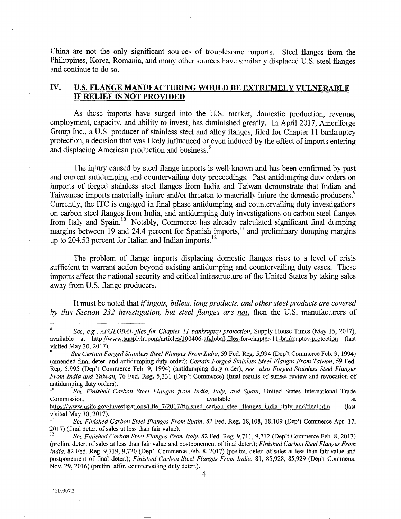China are not the only significant sources of troublesome imports. Steel flanges from the Philippines, Korea, Romania, and many other sources have similarly displaced U.S. steel flanges and continue to do so.

## **IV. U.S. FLANGE MANUFACTURING WOULD BE EXTREMELY VULNERABLE IF RELIEF IS NOT PROVIDED**

As these imports have surged into the U.S. market, domestic production, revenue, employment, capacity, and ability to invest, has diminished greatly. In April 2017, Ameriforge Group Inc., a U.S. producer of stainless steel and alloy flanges, filed for Chapter 11 bankruptcy protection, a decision that was likely influenced or even induced by the effect of imports entering and displacing American production and business.<sup>8</sup>

The injury caused by steel flange imports is well-known and has been confirmed by past and current antidumping and countervailing duty proceedings. Past antidumping duty orders on imports of forged stainless steel flanges from India and Taiwan demonstrate that Indian and Taiwanese imports materially injure and/or threaten to materially injure the domestic producers.<sup>9</sup> Currently, the ITC is engaged in final phase antidumping and countervailing duty investigations on carbon steel flanges from India, and antidumping duty investigations on carbon steel flanges from Italy and Spain.<sup>10</sup> Notably, Commerce has already calculated significant final dumping margins between 19 and 24.4 percent for Spanish imports,<sup>11</sup> and preliminary dumping margins up to 204.53 percent for Italian and Indian imports.<sup>12</sup>

The problem of flange imports displacing domestic flanges rises to a level of crisis sufficient to warrant action beyond existing antidumping and countervailing duty cases. These imports affect the national security and critical infrastructure of the United States by taking sales away from U.S. flange producers.

It must be noted that *if ingots, billets, long products, and other steel products are covered by this Section* 232 *investigation, but steel flanges are not,* then the U.S. manufacturers of

See Finished Carbon Steel Flanges from India, Italy, and Spain, United States International Trade Commission, available at the set of the set of the set of the set of the set of the set of the set of the set of the set of the set of the set of the set of the set of the set of the set of the set of the set of the set of

https://www.usitc.gov/investigations/title 7/2017/finished carbon steel flanges india italy and/final.htm (last visited May 30, 2017).

<sup>11</sup>*See Finished Carbon Steel Flanges From Spain,* 82 Fed. Reg. 18,108, 18,109 (Dep't Commerce Apr. 17, 2017) (final deter. of sales at less than fair value).

*See, e.g., AFGLOBAL files for Chapter* 11 *bankruptcy protection,* Supply House Times (May 15, 2017), available at http://www.supplyht.comJarticles/1 00406-afglobal-files-for-chapter-ll-bankruptcy-protection (last visited May 30,2017).

*<sup>9</sup>See Certain Forged Stainless Steel Flanges From India,* 59 Fed. Reg. 5,994 (Dep't Commerce Feb. 9, 1994) (amended final deter. and antidumping duty order); *Certain Forged Stainless Steel Flanges From Taiwan,* 59 Fed. Reg. 5,995 (Dep't Commerce Feb. 9, 1994) (antidumping duty order); *see also Forged Stainless Steel Flanges From India and Taiwan,* 76 Fed. Reg. 5,331 (Dep't Commerce) (final results of sunset review and revocation of antidumping duty orders).

<sup>12</sup>*See Finished Carbon Steel Flanges From Italy,* 82 Fed. Reg. 9,711, 9,712 (Dep't Commerce Feb. 8,2017) (prelim. deter. of sales at less than fair value and postponement of final deter.); *Finished Carbon Steel Flanges From India,* 82 Fed. Reg. 9,719, 9,720 (Dep't Commerce Feb. 8,2017) (prelim. deter. of sales at less than fair value and postponement of final deter.); *Finished Carbon Steel Flanges From India,* 81, 85,928, 85,929 (Dep't Commerce Nov. 29, 2016) (prelim. affir. countervailing duty deter.).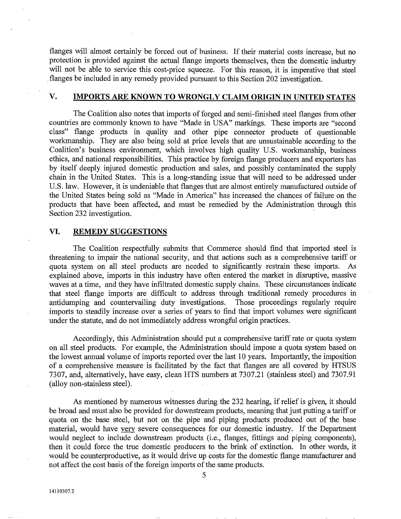flanges will almost certainly be forced out of business. If their material costs increase, but no protection is provided against the actual flange imports themselves, then the domestic industry will not be able to service this cost-price squeeze. For this reason, it is imperative that steel . flanges be included in any remedy provided pursuant to this Section 202 investigation.

# v. **IMPORTS ARE KNOWN TO WRONGLY CLAIM ORIGIN IN UNITED STATES**

The Coalition also notes that imports of forged and semi-finished steel flanges from other countries are commonly known to have "Made in USA" markings. These imports are "second class" flange products in quality and other pipe connector products of questionable workmanship. They are also being sold at price levels that are unsustainable according to the Coalition's business environment, which involves high quality U.S. workmanship, business ethics, and national responsibilities. This practice by foreign flange producers and exporters has by itself deeply injured domestic production and sales, and possibly contaminated the supply chain in the United States. This is a long-standing issue that will need to be addressed under U.S. law. However, it is undeniable that flanges that are almost entirely manufactured outside of the United States being sold as "Made in America" has increased the chances of failure on the products that have been affected, and must be remedied by the Administration through this Section 232 investigation.

#### **VI. REMEDY SUGGESTIONS**

The Coalition respectfully submits that Commerce should find that imported steel is threatening to impair the national security, and that actions such as a comprehensive tariff or quota system on all steel products are needed to significantly restrain these imports. As explained above, imports in this industry have often entered the market in disruptive, massive waves at a time, and they have infiltrated domestic supply chains. These circumstances indicate that steel flange imports are difficult to address through traditional remedy procedures in antidumping and countervailing duty investigations. Those proceedings regularly require imports to steadily increase over a series of years to find that import volumes were significant under the statute, and do not immediately address wrongful origin practices.

Accordingly, this Administration should put a comprehensive tariff rate or quota system on all steel products. For example, the Administration should impose a quota system based on the lowest annual volume of imports reported over the last 10 years. Importantly, the imposition of a comprehensive measure is facilitated by the fact that flanges are all covered by HTSUS 7307, and, alternatively, have easy, clean HTS numbers at 7307.21 (stainless steel) and 7307.91 (alloy non-stainless steel).

As mentioned by numerous witnesses during the 232 hearing, if relief is given, it should be broad and must also be provided for downstream products, meaning that just putting a tariff or quota on the base steel, but not on the pipe and piping products produced out of the base material, would have very severe consequences for our domestic industry. If the Department would neglect to include downstream products (i.e., flanges, fittings and piping components), then it could force the true domestic producers to the brink of extinction. In other words, it would be counterproductive, as **it** would drive up costs for the domestic flange manufacturer and not affect the cost basis of the foreign imports of the same products.

5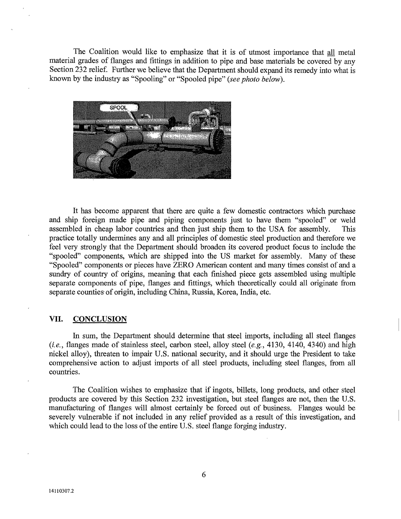The Coalition would like to emphasize that it is of utmost importance that all metal material grades of flanges and fittings in addition to pipe and base materials be covered by any Section 232 relief. Further we believe that the Department should expand its remedy into what is known by the industry as "Spooling" or "Spooled pipe" *(see photo below).* 



It has become apparent that there are quite a few domestic contractors which purchase and ship foreign made pipe and piping components just to have them "spooled" or weld assembled in cheap labor countries and then just ship them to the USA for assembly. This practice totally undermines any and all principles of domestic steel production and therefore we feel very strongly that the Department should broaden its covered product focus to include the "spooled" components, which are shipped into the US market for assembly. Many of these "Spooled" components or pieces have ZERO American content and many times consist of and a sundry of country of origins, meaning that each finished piece gets assembled using multiple separate components of pipe, flanges and fittings, which theoretically could all originate from separate counties of origin, including China, Russia, Korea, India, etc.

#### **VII. CONCLUSION**

In sum, the Department should determine that steel imports, including all steel flanges *(i.e.,* flanges made of stainless steel, carbon steel, alloy steel *(e.g.,* 4130, 4140, 4340) and high nickel alloy), threaten to impair U.S. national security, and it should urge the President to take comprehensive action to adjust imports of all steel products, including steel flanges, from all countries.

The Coalition wishes to emphasize that if ingots, billets, long products, and other steel products are covered by this Section 232 investigation, but steel flanges are not, then the U.S. manufacturing of flanges will almost certainly be forced out of business. Flanges would be severely vulnerable if not included in any relief provided as a result of this investigation, and which could lead to the loss of the entire U.S. steel flange forging industry.